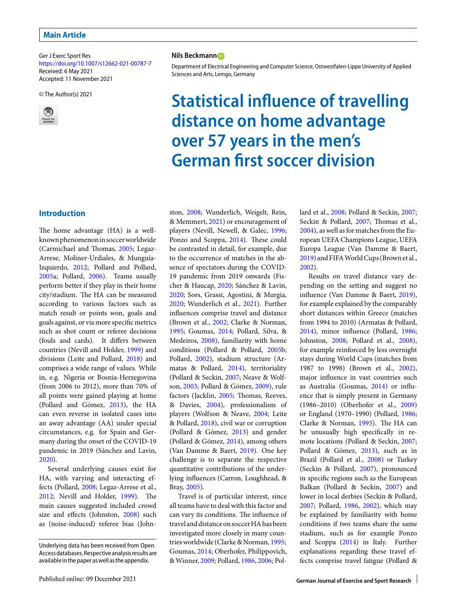Ger J Exerc Sport Res <https://doi.org/10.1007/s12662-021-00787-7> Received: 6 May 2021 Accepted: 11 November 2021

© The Author(s) 2021



# **Introduction**

The home advantage (HA) is a wellknownphenomenonin soccerworldwide (Carmichael and Thomas, [2005;](#page-7-0) Legaz-Arrese, Moliner-Urdiales, & Munguía-Izquierdo, [2012;](#page-7-1) Pollard and Pollard, [2005a](#page-8-0); Pollard, [2006\)](#page-7-2). Teams usually perform better if they play in their home city/stadium. The HA can be measured according to various factors such as match result or points won, goals and goals against, or via more specific metrics such as shot count or referee decisions (fouls and cards). It differs between countries (Nevill and Holder, [1999\)](#page-7-3) and divisions (Leite and Pollard, [2018\)](#page-7-4) and comprises a wide range of values. While in, e.g. Nigeria or Bosnia-Herzegovina (from 2006 to 2012), more than 70% of all points were gained playing at home (Pollard and Gómez, [2013\)](#page-7-5), the HA can even reverse in isolated cases into an away advantage (AA) under special circumstances, e.g. for Spain and Germany during the onset of the COVID-19 pandemic in 2019 (Sánchez and Lavin, [2020\)](#page-8-1).

Several underlying causes exist for HA, with varying and interacting effects (Pollard, [2008;](#page-7-6) Legaz-Arrese et al., [2012;](#page-7-1) Nevill and Holder, [1999\)](#page-7-3). The main causes suggested included crowd size and effects (Johnston, [2008\)](#page-7-7) such as (noise-induced) referee bias (John-

#### **Nils Beckmann**

Department of Electrical Engineering and Computer Science, Ostwestfalen-Lippe University of Applied Sciences and Arts, Lemgo, Germany

# **Statistical influence of travelling distance on home advantage over 57 years in the men's German first soccer division**

ston, [2008;](#page-7-7) Wunderlich, Weigelt, Rein, & Memmert, [2021\)](#page-8-2) or encouragement of players (Nevill, Newell, & Galec, [1996;](#page-7-8) Ponzo and Scoppa, [2014\)](#page-8-3). These could be contrasted in detail, for example, due to the occurrence of matches in the absence of spectators during the COVID-19 pandemic from 2019 onwards (Fischer & Haucap, [2020;](#page-7-9) Sánchez & Lavin, [2020;](#page-8-1) Sors, Grassi, Agostini, & Murgia, [2020;](#page-8-4) Wunderlich et al., [2021\)](#page-8-2). Further influences comprise travel and distance (Brown et al., [2002;](#page-7-10) Clarke & Norman, [1995;](#page-7-11) Goumas, [2014;](#page-7-12) Pollard, Silva, & Medeiros, [2008\)](#page-8-5), familiarity with home conditions (Pollard & Pollard, [2005b](#page-8-6); Pollard, [2002\)](#page-7-13), stadium structure (Armatas & Pollard, [2014\)](#page-7-14), territoriality (Pollard & Seckin, [2007;](#page-8-7) Neave & Wolfson, [2003;](#page-7-15) Pollard & Gómez, [2009\)](#page-7-16), rule factors (Jacklin, [2005;](#page-7-17) Thomas, Reeves, & Davies, [2004\)](#page-8-8), professionalism of players (Wolfson & Neave, [2004;](#page-8-9) Leite & Pollard, [2018\)](#page-7-4), civil war or corruption (Pollard & Gómez, [2013\)](#page-7-5) and gender (Pollard & Gómez, [2014\)](#page-7-18), among others (Van Damme & Baert, [2019\)](#page-8-10). One key challenge is to separate the respective quantitative contributions of the underlying influences (Carron, Loughhead, & Bray, [2005\)](#page-7-19).

Travel is of particular interest, since all teams have to deal with this factor and can vary its conditions. The influence of travel and distance on soccerHA has been investigated more closely in many coun-tries worldwide (Clarke & Norman, [1995;](#page-7-11) Goumas, [2014;](#page-7-12) Oberhofer, Philippovich, &Winner, [2009;](#page-7-20) Pollard, [1986,](#page-7-21) [2006;](#page-7-2) Pollard et al., [2008;](#page-8-5) Pollard & Seckin, [2007;](#page-8-7) Seckin & Pollard, [2007;](#page-8-11) Thomas et al., [2004\)](#page-8-8), as well as for matches from the European UEFA Champions League, UEFA Europa League (Van Damme & Baert, [2019\)](#page-8-10) and FIFA World Cups (Brown et al., [2002\)](#page-7-10).

Results on travel distance vary depending on the setting and suggest no influence (Van Damme & Baert, [2019\)](#page-8-10), for example explained by the comparably short distances within Greece (matches from 1994 to 2010) (Armatas & Pollard, [2014\)](#page-7-14), minor influence (Pollard, [1986;](#page-7-21) Johnston, [2008;](#page-7-7) Pollard et al., [2008\)](#page-8-5), for example reinforced by less overnight stays during World Cups (matches from 1987 to 1998) (Brown et al., [2002\)](#page-7-10), major influence in vast countries such as Australia (Goumas, [2014\)](#page-7-12) or influence that is simply present in Germany (1986–2010) (Oberhofer et al., [2009\)](#page-7-20) or England (1970–1990) (Pollard, [1986;](#page-7-21) Clarke & Norman,  $1995$ ). The HA can be unusually high specifically in remote locations (Pollard & Seckin, [2007;](#page-8-7) Pollard & Gómez, [2013\)](#page-7-5), such as in Brazil (Pollard et al., [2008\)](#page-8-5) or Turkey (Seckin & Pollard, [2007\)](#page-8-11), pronounced in specific regions such as the European Balkan (Pollard & Seckin, [2007\)](#page-8-7) and lower in local derbies (Seckin & Pollard, [2007;](#page-8-11) Pollard, [1986,](#page-7-21) [2002\)](#page-7-13), which may be explained by familiarity with home conditions if two teams share the same stadium, such as for example Ponzo and Scoppa [\(2014\)](#page-8-3) in Italy. Further explanations regarding these travel effects comprise travel fatigue (Pollard &

Underlying data has been received from Open Access databases. Respective analysis results are available in the paperaswell as theappendix.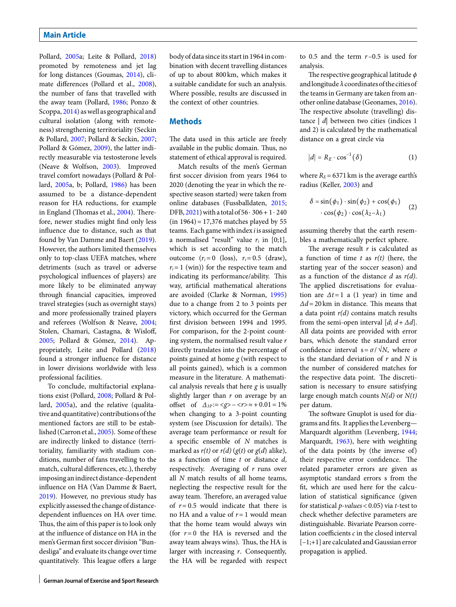Pollard, [2005a](#page-8-0); Leite & Pollard, [2018\)](#page-7-4) promoted by remoteness and jet lag for long distances (Goumas, [2014\)](#page-7-12), climate differences (Pollard et al., [2008\)](#page-8-5), the number of fans that travelled with the away team (Pollard, [1986;](#page-7-21) Ponzo & Scoppa, [2014\)](#page-8-3) as well as geographical and cultural isolation (along with remoteness) strengthening territoriality (Seckin & Pollard, [2007;](#page-8-11) Pollard & Seckin, [2007;](#page-8-7) Pollard & Gómez, [2009\)](#page-7-16), the latter indirectly measurable via testosterone levels (Neave & Wolfson, [2003\)](#page-7-15). Improved travel comfort nowadays (Pollard & Pollard, [2005a](#page-8-0), b; Pollard, [1986\)](#page-7-21) has been assumed to be a distance-dependent reason for HA reductions, for example in England (Thomas et al., [2004\)](#page-8-8). Therefore, newer studies might find only less influence due to distance, such as that found by Van Damme and Baert [\(2019\)](#page-8-10). However, the authors limited themselves only to top-class UEFA matches, where detriments (such as travel or adverse psychological influences of players) are more likely to be eliminated anyway through financial capacities, improved travel strategies (such as overnight stays) and more professionally trained players and referees (Wolfson & Neave, [2004;](#page-8-9) Stolen, Chamari, Castagna, & Wisloff, [2005;](#page-8-12) Pollard & Gómez, [2014\)](#page-7-18). Appropriately, Leite and Pollard [\(2018\)](#page-7-4) found a stronger influence for distance in lower divisions worldwide with less professional facilities.

To conclude, multifactorial explanations exist (Pollard, [2008;](#page-7-6) Pollard & Pollard, [2005a](#page-8-0)), and the relative (qualitative and quantitative) contributions of the mentioned factors are still to be established (Carron et al., [2005\)](#page-7-19). Some of these are indirectly linked to distance (territoriality, familiarity with stadium conditions, number of fans travelling to the match, cultural differences, etc.), thereby imposing anindirect distance-dependent influence on HA (Van Damme & Baert, [2019\)](#page-8-10). However, no previous study has explicitly assessed the change of distancedependent influences on HA over time. Thus, the aim of this paper is to look only at the influence of distance on HA in the men's German first soccer division "Bundesliga" and evaluate its change over time quantitatively. This league offers a large

body of data since its start in 1964 in combination with decent travelling distances of up to about 800 km, which makes it a suitable candidate for such an analysis. Where possible, results are discussed in the context of other countries.

# **Methods**

The data used in this article are freely available in the public domain. Thus, no statement of ethical approval is required.

Match results of the men's German first soccer division from years 1964 to 2020 (denoting the year in which the respective season started) were taken from online databases (Fussballdaten, [2015;](#page-7-22)<br>DFB, [2021\)](#page-7-23) with a total of 56 ⋅ 306 + 1 ⋅ 240 (in 1964) = 17,376 matches played by 55 teams. Each game with index *i* is assigned a normalised "result" value  $r_i$  in [0;1], which is set according to the match outcome  $(r_i = 0$  (loss),  $r_i = 0.5$  (draw),  $r_i = 1$  (win)) for the respective team and indicating its performance/ability. This way, artificial mathematical alterations are avoided (Clarke & Norman, [1995\)](#page-7-11) due to a change from 2 to 3 points per victory, which occurred for the German first division between 1994 and 1995. For comparison, for the 2-point counting system, the normalised result value *r* directly translates into the percentage of points gained at home *g* (with respect to all points gained), which is a common measure in the literature. A mathematical analysis reveals that here *g* is usually slightly larger than *r* on average by an offset of  $\Delta_{3P}$  := <*g*> – <*r*> > ≈ + 0.01 = 1% when changing to a 3-point counting system (see Discussion for details). The average team performance or result for a specific ensemble of *N* matches is marked as  $r(t)$  or  $r(d)$  ( $g(t)$  or  $g(d)$  alike), as a function of time *t* or distance *d*, respectively. Averaging of *r* runs over all *N* match results of all home teams, neglecting the respective result for the away team. Therefore, an averaged value of  $r = 0.5$  would indicate that there is no HA and a value of *r*= 1 would mean that the home team would always win (for  $r=0$  the HA is reversed and the away team always wins). Thus, the HA is larger with increasing *r*. Consequently, the HA will be regarded with respect to 0.5 and the term *r*–0.5 is used for analysis.

The respective geographical latitude *ϕ* andlongitude *λ*coordinatesof thecitiesof the teams in Germany are taken from another online database (Geonames, [2016\)](#page-7-24). The respective absolute (travelling) distance | *d*| between two cities (indices 1 and 2) is calculated by the mathematical distance on a great circle via ∣

$$
|d| = R_E \cdot \cos^{-1}(\delta)
$$
 (1)

where  $R_E$  = 6371 km is the average earth's

radius (Keller, 2003) and  
\n
$$
\delta = \sin(\phi_1) \cdot \sin(\phi_2) + \cos(\phi_1)
$$
\n
$$
\cdot \cos(\phi_2) \cdot \cos(\lambda_2 - \lambda_1)
$$
\n(2)

assuming thereby that the earth resembles a mathematically perfect sphere.

The average result  $r$  is calculated as a function of time *t* as *r(t)* (here, the starting year of the soccer season) and as a function of the distance *d* as *r(d)*. The applied discretisations for evaluation are *Δt*= 1 a (1 year) in time and  $\Delta d = 20$  km in distance. This means that a data point *r(d)* contains match results from the semi-open interval  $[d; d + \Delta d]$ . All data points are provided with error bars, which denote the standard error confidence interval  $s = \sigma / \sqrt{N}$ , where  $\sigma$ is the standard deviation of *r* and *N* is the number of considered matches for the respective data point. The discretisation is necessary to ensure satisfying large enough match counts *N(d)* or *N(t)* per datum.

The software Gnuplot is used for diagrams and fits. It applies the Levenberg— Marquardt algorithm (Levenberg, [1944;](#page-7-26) Marquardt, [1963\)](#page-7-27), here with weighting of the data points by (the inverse of) their respective error confidence. The related parameter errors are given as asymptotic standard errors s from the fit, which are used here for the calculation of statistical significance (given for statistical *p-values*< 0.05) via *t*-test to check whether defective parameters are distinguishable. Bivariate Pearson correlation coefficients *c* in the closed interval [–1;+1] are calculated and Gaussian error propagation is applied.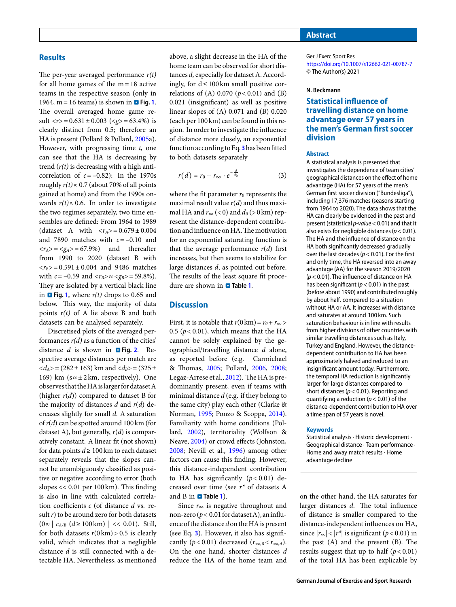## **Results**

The per-year averaged performance  $r(t)$ for all home games of the  $m = 18$  active teams in the respective season (only in [1](#page-3-0)964,  $m = 16$  teams) is shown in **a** Fig. 1. The overall averaged home game result  $\langle r \rangle = 0.631 \pm 0.003 \ (\langle g \rangle = 63.4\%)$  is clearly distinct from 0.5; therefore an HA is present (Pollard & Pollard, [2005a](#page-8-0)). However, with progressing time *t*, one can see that the HA is decreasing by trend (*r(t)* is decreasing with a high anticorrelation of  $c = -0.82$ ): In the 1970s roughly  $r(t) \approx 0.7$  (about 70% of all points  $\begin{aligned} \text{f}(t) \approx 0.7 \text{ (about 70% of an points)}\\ \text{gained at home) and from the 1990s on-  
wards  $r(t) \approx 0.6$ . In order to investigate$ the two regimes separately, two time ensembles are defined: From 1964 to 1989 (dataset A with  $\langle r_A \rangle = 0.679 \pm 0.004$ and 7890 matches with  $c = -0.10$  and  $\langle r_A \rangle = \langle g_A \rangle = 67.9\%$  and thereafter from 1990 to 2020 (dataset B with  $\langle r_B \rangle = 0.591 \pm 0.004$  and 9486 matches<br>with *c* = –0.59 and  $\langle r_B \rangle \approx \langle g_B \rangle = 59.8\%$ ). They are isolated by a vertical black line in **o Fig. [1](#page-3-0)**, where  $r(t)$  drops to 0.65 and below. This way, the majority of data points *r(t)* of A lie above B and both datasets can be analysed separately.

Discretised plots of the averaged performances  $r(d)$  as a function of the cities' distance  $d$  is shown in **D** Fig. [2](#page-3-1). Respective average distances per match are  $\langle d_{A} \rangle$  = (282 ± 163) km and  $\langle d_{B} \rangle$  = (325 ± 169) km ( $s \approx \pm 2$  km, respectively). One observes that theHAislargerfordatasetA (higher *r*(*d*)) compared to dataset B for the majority of distances *d* and *r*(*d*) decreases slightly for small *d*. A saturation of*r*(*d*) can be spotted around 100 km (for dataset A), but generally, *r*(*d*) is comparatively constant. A linear fit (not shown) for data points *d*≥ 100 km to each dataset separately reveals that the slopes cannot be unambiguously classified as positive or negative according to error (both slopes  $<< 0.01$  per 100 km). This finding is also in line with calculated correlation coefficients *c* (of distance *d* vs. re-Sult *r*) to be around zero for both datasets<br>(0 ≈ |  $c_{A/B}$  ( $d \ge 100 \text{ km}$ ) | << 0.01). Still, for both datasets  $r(0 \text{ km}) > 0.5$  is clearly valid, which indicates that a negligible distance *d* is still connected with a detectable HA. Nevertheless, as mentioned

above, a slight decrease in the HA of the home team can be observed for short distances *d*, especially for dataset A. Accordingly, for  $d \le 100$  km small positive correlations of (A)  $0.070$  ( $p < 0.01$ ) and (B) 0.021 (insignificant) as well as positive linear slopes of (A) 0.071 and (B) 0.020 (each per 100 km) can be found in this region. In order to investigate the influence of distance more closely, an exponential functionaccording toEq.**[3](#page-2-0)**has been fitted

<span id="page-2-0"></span>to both datasets separately  
\n
$$
r(d) = r_0 + r_\infty \cdot e^{-\frac{d}{d_0}}
$$
\n(3)

where the fit parameter  $r_0$  represents the maximal result value  $r(d)$  and thus maximal HA and  $r_{\infty}$  (< 0) and  $d_0$  (> 0 km) represent the distance-dependent contribution and influence on HA. The motivation for an exponential saturating function is that the average performance  $r(d)$  first increases, but then seems to stabilize for large distances *d*, as pointed out before. The results of the least square fit procedure are shown in **D** Table [1](#page-4-0).

## **Discussion**

First, it is notable that  $r(0 \text{ km}) = r_0 + r_\infty$ 0.5 ( $p$  < 0.01), which means that the HA cannot be solely explained by the geographical/travelling distance *d* alone, as reported before (e.g. Carmichael & Thomas, [2005;](#page-7-0) Pollard, [2006,](#page-7-2) [2008;](#page-7-6) Legaz-Arrese et al., [2012\)](#page-7-1). The HA is predominantly present, even if teams with minimal distance *d* (e.g. if they belong to the same city) play each other (Clarke & Norman, [1995;](#page-7-11) Ponzo & Scoppa, [2014\)](#page-8-3). Familiarity with home conditions (Pollard, [2002\)](#page-7-13), territoriality (Wolfson & Neave, [2004\)](#page-8-9) or crowd effects (Johnston, [2008;](#page-7-7) Nevill et al., [1996\)](#page-7-8) among other factors can cause this finding. However, this distance-independent contribution to HA has significantly  $(p < 0.01)$  decreased over time (see *r\** of datasets A and B in . **Table [1](#page-4-0)**).

Since *r*<sup>∞</sup> is negative throughout and non-zero ( $p < 0.01$  for dataset A), an influence of the distance *d*on the HAis present (see Eq. **[3](#page-2-0)**). However, it also has significantly ( $p < 0.01$ ) decreased ( $r_{\infty,B} < r_{\infty,A}$ ). On the one hand, shorter distances *d* reduce the HA of the home team and

## **Abstract**

Ger J Exerc Sport Res <https://doi.org/10.1007/s12662-021-00787-7> © The Author(s) 2021

#### **N. Beckmann**

# **Statistical influence of travelling distance on home advantage over 57 years in the men's German first soccer division**

#### **Abstract**

A statistical analysis is presented that investigates the dependence of team cities' geographical distances on the effect of home advantage (HA) for 57 years of the men's German first soccer division ("Bundesliga"), including 17,376 matches (seasons starting from 1964 to 2020). The data shows that the HA can clearly be evidenced in the past and present (statistical  $p$ -value < 0.01) and that it also exists for negligible distances ( $p < 0.01$ ). The HA and the influence of distance on the HA both significantly decreased gradually over the last decades ( $p < 0.01$ ). For the first and only time, the HA reversed into an away advantage (AA) for the season 2019/2020  $(p < 0.01)$ . The influence of distance on HA has been significant ( $p < 0.01$ ) in the past (before about 1990) and contributed roughly by about half, compared to a situation without HA or AA. It increases with distance and saturates at around 100 km. Such saturation behaviour is in line with results from higher divisions of other countries with similar travelling distances such as Italy, Turkey and England. However, the distancedependent contribution to HA has been approximately halved and reduced to an insignificant amount today. Furthermore, the temporal HA reduction is significantly larger for large distances compared to short distances ( $p < 0.01$ ). Reporting and quantifying a reduction ( $p < 0.01$ ) of the distance-dependent contribution to HA over a time span of 57 years is novel.

#### **Keywords**

Statistical analysis · Historic development · Geographical distance · Team performance · Home and away match results · Home advantage decline

on the other hand, the HA saturates for larger distances *d*. The total influence of distance is smaller compared to the distance-independent influences on HA, since  $|r_{\infty}| < |r^*|$  is significant ( $p < 0.01$ ) in the past  $(A)$  and the present  $(B)$ . The results suggest that up to half  $(p < 0.01)$ of the total HA has been explicable by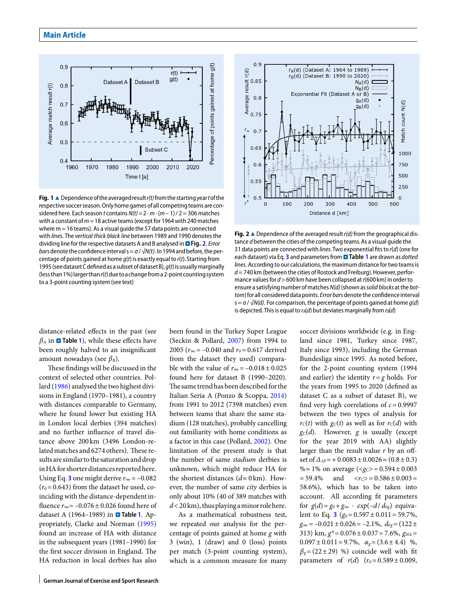

<span id="page-3-0"></span>Fig. 1  $\triangle$  Dependence of the averaged result  $r(t)$  from the starting year tof the **гig. Т ▲** Dependence of the averaged resun*t* (() nom the starting year tor the<br>respective soccer season. Only home games of all competing teams are con-<br>sidered here. Each season *t* contains N(t) = 2 ⋅ m ⋅ (m − 1) / 2 with a constant of  $m = 18$  active teams (except for 1964 with 240 matches where  $m = 16$  teams). As a visual guide the 57 data points are connected with lines. The vertical thick black line between 1989 and 1990 denotes the dividing line for the respective datasets A and B analysed in **D Fig. [2](#page-3-1).** Error *bars* denote the confidence interval s =  $\sigma$  /  $\sqrt{N(t)}$ . In 1994 and before, the percentage of points gained at home  $g(t)$  is exactly equal to  $r(t)$ . Starting from 1995 (see dataset C defined as a subset of dataset B),  $q(t)$  is usually marginally (less than 1%) larger than  $r(t)$  due to a change from a 2-point counting system to a 3-point counting system (see text)



<span id="page-3-1"></span>**Fig. 2** A Dependence of the averaged result  $r(d)$  from the geographical distance d between the cities of the competing teams.As a visual guide the 31 data points are connected with *lines*. Two exponential fits to  $r(d)$  (one for each dataset) via Eq. **[3](#page-2-0)** and parameters from .**Table [1](#page-4-0)** are drawn as dotted lines. According to our calculations, the maximum distance for two teams is  $d=$  740 km (between the cities of Rostock and Freiburg). However, performance values for  $d > 600$  km have been collapsed at  $r(600 \text{ km})$  in order to ensure a satisfying number of matches N(d) (shown as solid blocks at the bottom) for all considered data points. Error bars denote the confidence interval s =  $\sigma$  /  $\sqrt{N(d)}$ . For comparison, the percentage of points gained at home  $q(d)$ is depicted. This is equal to  $r_A(d)$  but deviates marginally from  $r_B(d)$ 

distance-related effects in the past (see  $\beta_A$  in  $\blacksquare$  **Table [1](#page-4-0)**), while these effects have been roughly halved to an insignificant amount nowadays (see *β<sub>B</sub>*).

These findings will be discussed in the context of selected other countries. Pollard [\(1986\)](#page-7-21) analysed the two highest divisions in England (1970–1981), a country with distances comparable to Germany, where he found lower but existing HA in London local derbies (394 matches) and no further influence of travel distance above 200 km (3496 London-related matches and 6274 others). These results are similar to the saturation and drop in HA for shorter distances reported here. Using Eq. **[3](#page-2-0)** one might derive  $r_{\infty} = -0.082$  $(r_0=0.643)$  from the dataset he used, coinciding with the distance-dependent influence *r*∞= –0.076 ± 0.026 found here of dataset A ([1](#page-4-0)964-1989) in **Q Table 1**. Appropriately, Clarke and Norman [\(1995\)](#page-7-11) found an increase of HA with distance in the subsequent years (1981–1990) for the first soccer division in England. The HA reduction in local derbies has also been found in the Turkey Super League (Seckin & Pollard, [2007\)](#page-8-11) from 1994 to 2005 ( $r_{\infty}$  = −0.040 and  $r_0$  = 0.617 derived from the dataset they used) comparable with the value of  $r_{\infty} = -0.018 \pm 0.025$ found here for dataset B (1990–2020). The same trend has been described for the Italian Seria A (Ponzo & Scoppa, [2014\)](#page-8-3) from 1991 to 2012 (7398 matches) even between teams that share the same stadium (128 matches), probably cancelling out familiarity with home conditions as a factor in this case (Pollard, [2002\)](#page-7-13). One limitation of the present study is that the number of same *stadium* derbies is unknown, which might reduce HA for the shortest distances ( $d \approx 0$  km). However, the number of same *city* derbies is only about 10% (40 of 389 matches with  $d$  < 20 km), thus playing a minor role here.

As a mathematical robustness test, we repeated our analysis for the percentage of points gained at home *g* with 3 (win), 1 (draw) and 0 (loss) points per match (3-point counting system), which is a common measure for many soccer divisions worldwide (e.g. in England since 1981, Turkey since 1987, Italy since 1993), including the German Bundesliga since 1995. As noted before, for the 2-point counting system (1994 and earlier) the identity  $r = g$  holds. For the years from 1995 to 2020 (defined as dataset C as a subset of dataset B), we find very high correlations of  $c = 0.9997$ between the two types of analysis for  $r_c(t)$  with  $g_c(t)$  as well as for  $r_c(d)$  with  $gc(d)$ . However, *g* is usually (except for the year 2019 with AA) slightly larger than the result value *r* by an offset of  $\Delta_{3P}$  = + 0.0083 ± 0.0026  $\times$  (0.8 ± 0.3)  $\frac{3}{2}$  on average ( $\frac{3}{2}$  = 0.0083 ± 0.0026  $\approx$  (0.8 ± 0.3)<br>  $\% \approx 1\%$  on average ( $\frac{3}{2}$  = 0.594 ± 0.003  $= 59.4\%$  and  $\langle r_C \rangle = 0.586 \pm 0.003 =$ 58.6%), which has to be taken into account. All according fit parameters for  $g(d) = g_0 + g_\infty \cdot exp(-d/d_{0g})$  equivalent to Eq. **[3](#page-2-0)** ( $g_0 = 0.597 \pm 0.011 = 59.7\%$ ,  $g_{\infty}$  = –0.021 ± 0.026 = –2.1%,  $d_{0g}$  = (122 ± 313) km,  $g^*$  = 0.076 ± 0.037 = 7.6%,  $g_{HA}$  =  $0.097 \pm 0.011 = 9.7\%, \alpha_g = (3.6 \pm 4.4)$  %,  $\beta_g = (22 \pm 29)$  %) coincide well with fit parameters of  $r(d)$  ( $r_0 = 0.589 \pm 0.009$ ,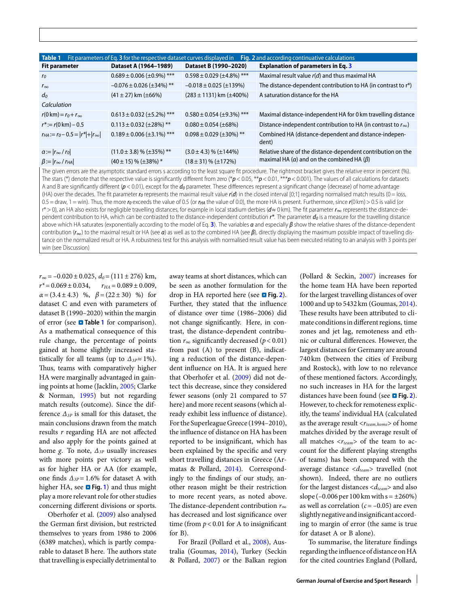<span id="page-4-0"></span>

| Fit parameters of Eq. 3 for the respective dataset curves displayed in Fig. 2 and according continuative calculations<br>Table 1 |                                     |                                                |                                                                                                                            |
|----------------------------------------------------------------------------------------------------------------------------------|-------------------------------------|------------------------------------------------|----------------------------------------------------------------------------------------------------------------------------|
| Fit parameter                                                                                                                    | Dataset A (1964-1989)               | Dataset B (1990-2020)                          | <b>Explanation of parameters in Eq. 3</b>                                                                                  |
| r <sub>0</sub>                                                                                                                   | $0.689 \pm 0.006 \ (\pm 0.9\%)$ *** | $0.598 \pm 0.029$ (±4.8%) ***                  | Maximal result value $r(d)$ and thus maximal HA                                                                            |
| $r_{\infty}$                                                                                                                     | $-0.076 \pm 0.026 \ (\pm 34\%)$ **  | $-0.018 \pm 0.025 \ (\pm 139\%)$               | The distance-dependent contribution to HA (in contrast to r*)                                                              |
| $d_0$                                                                                                                            | $(41 \pm 27)$ km ( $\pm 66\%$ )     | $(283 \pm 1131)$ km ( $\pm$ 400%)              | A saturation distance for the HA                                                                                           |
| Calculation                                                                                                                      |                                     |                                                |                                                                                                                            |
| $r(0 \text{ km}) = r_0 + r_\infty$                                                                                               | $0.613 \pm 0.032$ (±5.2%) ***       | $0.580 \pm 0.054 \left( \pm 9.3\% \right)$ *** | Maximal distance-independent HA for 0 km travelling distance                                                               |
| $r^* := r(0 \text{ km}) - 0.5$                                                                                                   | $0.113 \pm 0.032$ (±28%) **         | $0.080 \pm 0.054 \ (\pm 68\%)$                 | Distance-independent contribution to HA (in contrast to $r_{\infty}$ )                                                     |
| $r_{HA} := r_0 - 0.5 =  r^*  +  r_{\infty} $                                                                                     | $0.189 \pm 0.006 \ (\pm 3.1\%)$ *** | $0.098 \pm 0.029$ (±30%) **                    | Combined HA (distance-dependent and distance-indepen-<br>dent)                                                             |
| $a =  r_{\infty}/r_0 $                                                                                                           | $(11.0 \pm 3.8)$ % ( $\pm$ 35%) **  | $(3.0 \pm 4.3)$ % ( $\pm$ 144%)                | Relative share of the distance-dependent contribution on the<br>maximal HA ( $\alpha$ ) and on the combined HA ( $\beta$ ) |
| $\beta =  r_{\infty}/r_{HA} $                                                                                                    | $(40 \pm 15)$ % ( $\pm$ 38%) *      | $(18 \pm 31)$ % ( $\pm$ 172%)                  |                                                                                                                            |

The given errors are the asymptotic standard errors s according to the least square ft procedure. The rightmost bracket gives the relative error in percent (%). The stars (\*) denote that the respective value is significantly different from zero (\*p < 0.05, \*\*p < 0.01, \*\*\*p < 0.001). The values of all calculations for datasets A and B are significantly different ( $p < 0.01$ ), except for the  $d_0$  parameter. These differences represent a significant change (decrease) of home advantage (HA) over the decades. The fit parameter  $r_0$  represents the maximal result value  $r(d)$  in the closed interval [0;1] regarding normalised match results (0 = loss,  $0.5$  = draw, 1 = win). Thus, the more  $r_0$  exceeds the value of 0.5 (or  $r_H$  the value of 0.0), the more HA is present. Furthermore, since  $r(0 \text{ km})$  > 0.5 is valid (or r\* > 0), an HA also exists for negligible travelling distances, for example in local stadium derbies ( $d \approx 0$  km). The fit parameter  $r_{\infty}$  represents the distance-dependent contribution to HA, which can be contrasted to the distance-independent contribution  $r^*$ . The parameter  $d_0$  is a measure for the travelling distance above which HA saturates (exponentially according to the model of Eq. **[3](#page-2-0)**). The variables α and especially β show the relative shares of the distance-dependent contribution ( $r_{\infty}$ ) to the maximal result or HA (see  $a$ ) as well as to the combined HA (see  $\beta$ ), directly displaying the maximum possible impact of travelling distance on the normalized result or HA. A robustness test for this analysis with normalised result value has been executed relating to an analysis with 3 points per win (see Discussion)

 $r_{\infty}$  = –0.020 ± 0.025,  $d_0$  = (111 ± 276) km,  $r^*$  = 0.069 ± 0.034,  $r_{HA}$  = 0.089 ± 0.009,  $\alpha = (3.4 \pm 4.3)$  %,  $\beta = (22 \pm 30)$  %) for dataset C and even with parameters of dataset B (1990–2020) within the margin of error (see **a Table [1](#page-4-0)** for comparison). As a mathematical consequence of this rule change, the percentage of points gained at home slightly increased sta-tistically for all teams (up to *Δ3P*<sup>≈</sup> 1%). Thus, teams with comparatively higher HA were marginally advantaged in gaining points at home (Jacklin, [2005;](#page-7-17) Clarke & Norman, [1995\)](#page-7-11) but not regarding match results (outcome). Since the difference *Δ3P* is small for this dataset, the main conclusions drawn from the match results *r* regarding HA are not affected and also apply for the points gained at home *g*. To note, *Δ3P* usually increases with more points per victory as well as for higher HA or AA (for example, one finds *Δ3P=* 1.6% for dataset A with higher HA, see  $\blacksquare$  **Fig.** [1](#page-3-0)) and thus might play a more relevant role for other studies concerning different divisions or sports.

Oberhofer et al. [\(2009\)](#page-7-20) also analysed the German first division, but restricted themselves to years from 1986 to 2006 (6389 matches), which is partly comparable to dataset B here. The authors state that travelling is especially detrimental to away teams at short distances, which can be seen as another formulation for the drop in HA reported here (see **D** Fig. [2](#page-3-1)). Further, they stated that the influence of distance over time (1986–2006) did not change significantly. Here, in contrast, the distance-dependent contribution  $r_{\infty}$  significantly decreased ( $p < 0.01$ ) from past (A) to present (B), indicating a reduction of the distance-dependent influence on HA. It is argued here that Oberhofer et al. [\(2009\)](#page-7-20) did not detect this decrease, since they considered fewer seasons (only 21 compared to 57 here) and more recent seasons (which already exhibit less influence of distance). For the Superleague Greece (1994–2010), the influence of distance on HA has been reported to be insignificant, which has been explained by the specific and very short travelling distances in Greece (Armatas & Pollard, [2014\)](#page-7-14). Correspondingly to the findings of our study, another reason might be their restriction to more recent years, as noted above. The distance-dependent contribution  $r_∞$ has decreased and lost significance over time (from  $p < 0.01$  for A to insignificant for B).

For Brazil (Pollard et al., [2008\)](#page-8-5), Australia (Goumas, [2014\)](#page-7-12), Turkey (Seckin & Pollard, [2007\)](#page-8-11) or the Balkan region

(Pollard & Seckin, [2007\)](#page-8-7) increases for the home team HA have been reported for the largest travelling distances of over 1000 and up to 5432 km (Goumas, [2014\)](#page-7-12). These results have been attributed to climate conditions in different regions, time zones and jet lag, remoteness and ethnic or cultural differences. However, the largest distances for Germany are around 740 km (between the cities of Freiburg and Rostock), with low to no relevance of these mentioned factors. Accordingly, no such increases in HA for the largest distances have been found (see **D** Fig. [2](#page-3-1)). However, to check for remoteness explicitly, the teams' individual HA (calculated as the average result <*rteam,home*> of home matches divided by the average result of all matches < $r_{team}$ > of the team to account for the different playing strengths of teams) has been compared with the average distance <*d*<sub>team</sub>> travelled (not shown). Indeed, there are no outliers for the largest distances  $\langle d_{team} \rangle$  and also slope ( $-0.006$  per 100 km with s =  $\pm 260%$ ) as well as correlation  $(c=-0.05)$  are even slightlynegativeandinsignificant according to margin of error (the same is true for dataset A or B alone).

To summarise, the literature findings regarding the influence of distance on HA for the cited countries England (Pollard,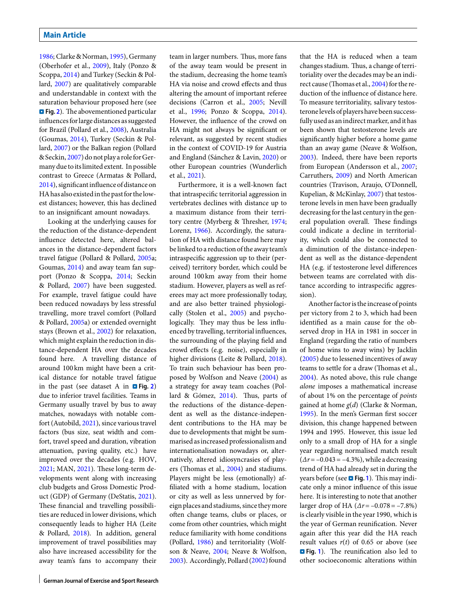[1986;](#page-7-21) Clarke & Norman, [1995\)](#page-7-11), Germany (Oberhofer et al., [2009\)](#page-7-20), Italy (Ponzo & Scoppa, [2014\)](#page-8-3) and Turkey (Seckin & Pollard, [2007\)](#page-8-11) are qualitatively comparable and understandable in context with the saturation behaviour proposed here (see  $\blacksquare$  **Fig. [2](#page-3-1)**). The abovementioned particular influences for large distances as suggested for Brazil (Pollard et al., [2008\)](#page-8-5), Australia (Goumas, [2014\)](#page-7-12), Turkey (Seckin & Pollard, [2007\)](#page-8-11) or the Balkan region (Pollard & Seckin, [2007\)](#page-8-7) do not play a rolefor Germany due to its limited extent. In possible contrast to Greece (Armatas & Pollard, [2014\)](#page-7-14), significantinfluence of distance on HA has also existed in the past for the lowest distances; however, this has declined to an insignificant amount nowadays.

Looking at the underlying causes for the reduction of the distance-dependent influence detected here, altered balances in the distance-dependent factors travel fatigue (Pollard & Pollard, [2005a](#page-8-0); Goumas, [2014\)](#page-7-12) and away team fan support (Ponzo & Scoppa, [2014;](#page-8-3) Seckin & Pollard, [2007\)](#page-8-11) have been suggested. For example, travel fatigue could have been reduced nowadays by less stressful travelling, more travel comfort (Pollard & Pollard, [2005a](#page-8-0)) or extended overnight stays (Brown et al., [2002\)](#page-7-10) for relaxation, which might explain the reduction in distance-dependent HA over the decades found here. A travelling distance of around 100 km might have been a critical distance for notable travel fatigue in the past (see dataset A in  $\blacksquare$  Fig. [2](#page-3-1)) due to inferior travel facilities. Teams in Germany usually travel by bus to away matches, nowadays with notable comfort (Autobild, [2021\)](#page-7-28), since various travel factors (bus size, seat width and comfort, travel speed and duration, vibration attenuation, paving quality, etc.) have improved over the decades (e.g. HOV, [2021;](#page-7-29) MAN, [2021\)](#page-7-30). These long-term developments went along with increasing club budgets and Gross Domestic Product (GDP) of Germany (DeStatis, [2021\)](#page-8-13). These financial and travelling possibilities are reduced in lower divisions, which consequently leads to higher HA (Leite & Pollard, [2018\)](#page-7-4). In addition, general improvement of travel possibilities may also have increased accessibility for the away team's fans to accompany their

team in larger numbers. Thus, more fans of the away team would be present in the stadium, decreasing the home team's HA via noise and crowd effects and thus altering the amount of important referee decisions (Carron et al., [2005;](#page-7-19) Nevill et al., [1996;](#page-7-8) Ponzo & Scoppa, [2014\)](#page-8-3). However, the influence of the crowd on HA might not always be significant or relevant, as suggested by recent studies in the context of COVID-19 for Austria and England (Sánchez & Lavin, [2020\)](#page-8-1) or other European countries (Wunderlich et al., [2021\)](#page-8-2).

Furthermore, it is a well-known fact that intraspecific territorial aggression in vertebrates declines with distance up to a maximum distance from their terri-tory centre (Myrberg & Thresher, [1974;](#page-7-31) Lorenz, [1966\)](#page-7-32). Accordingly, the saturation of HA with distance found here may be linked to a reduction of the away team's intraspecific aggression up to their (perceived) territory border, which could be around 100 km away from their home stadium. However, players as well as referees may act more professionally today, and are also better trained physiologically (Stolen et al., [2005\)](#page-8-12) and psychologically. They may thus be less influenced by travelling, territorial influences, the surrounding of the playing field and crowd effects (e.g. noise), especially in higher divisions (Leite & Pollard, [2018\)](#page-7-4). To train such behaviour has been proposed by Wolfson and Neave [\(2004\)](#page-8-9) as a strategy for away team coaches (Pol-lard & Gómez, [2014\)](#page-7-18). Thus, parts of the reductions of the distance-dependent as well as the distance-independent contributions to the HA may be due to developments that might be summarised asincreased professionalism and internationalisation nowadays or, alternatively, altered idiosyncrasies of play-ers (Thomas et al., [2004\)](#page-8-8) and stadiums. Players might be less (emotionally) affiliated with a home stadium, location or city as well as less unnerved by foreign places and stadiums, since theymore often change teams, clubs or places, or come from other countries, which might reduce familiarity with home conditions (Pollard, [1986\)](#page-7-21) and territoriality (Wolfson & Neave, [2004;](#page-8-9) Neave & Wolfson, [2003\)](#page-7-15). Accordingly, Pollard [\(2002\)](#page-7-13) found that the HA is reduced when a team changes stadium. Thus, a change of territoriality over the decades may be an indi-rect cause (Thomas et al., [2004\)](#page-8-8) for the reduction of the influence of distance here. To measure territoriality, salivary testosterone levels of players have been successfully used as an indirect marker, and it has been shown that testosterone levels are significantly higher before a home game than an away game (Neave & Wolfson, [2003\)](#page-7-15). Indeed, there have been reports from European (Andersson et al., [2007;](#page-7-33) Carruthers, [2009\)](#page-7-34) and North American countries (Travison, Araujo, O'Donnell, Kupelian, & McKinlay, [2007\)](#page-8-14) that testosterone levels in men have been gradually decreasing for the last century in the general population overall. These findings could indicate a decline in territoriality, which could also be connected to a diminution of the distance-independent as well as the distance-dependent HA (e.g. if testosterone level differences between teams are correlated with distance according to intraspecific aggression).

Another factor is the increase of points per victory from 2 to 3, which had been identified as a main cause for the observed drop in HA in 1981 in soccer in England (regarding the ratio of numbers of home wins to away wins) by Jacklin [\(2005\)](#page-7-17) due to lessened incentives of away teams to settle for a draw (Thomas et al., [2004\)](#page-8-8). As noted above, this rule change *alone* imposes a mathematical increase of about 1% on the percentage of *points* gained at home *g*(*d*) (Clarke & Norman, [1995\)](#page-7-11). In the men's German first soccer division, this change happened between 1994 and 1995. However, this issue led only to a small drop of HA for a single year regarding normalised match result (*Δr*= –0.043 = –4.3%), while a decreasing trend of HA had already set in during the years before (see **D** Fig. [1](#page-3-0)). This may indicate only a minor influence of this issue here. It is interesting to note that another larger drop of HA (*Δr*= –0.078 = –7.8%) is clearly visible in the year 1990, which is the year of German reunification. Never again afer this year did the HA reach result values  $r(t)$  of 0.65 or above (see  $\blacksquare$  Fig. [1](#page-3-0)). The reunification also led to other socioeconomic alterations within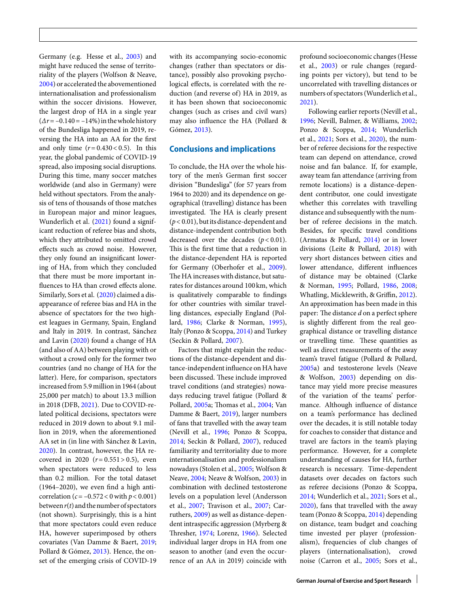Germany (e.g. Hesse et al., [2003\)](#page-7-35) and might have reduced the sense of territoriality of the players (Wolfson & Neave, [2004\)](#page-8-9) or accelerated the abovementioned internationalisation and professionalism within the soccer divisions. However, the largest drop of HA in a single year  $(\Delta r = -0.140 = -14\%)$  in the whole history of the Bundesliga happened in 2019, reversing the HA into an AA for the first and only time  $(r=0.430<0.5)$ . In this year, the global pandemic of COVID-19 spread, also imposing social disruptions. During this time, many soccer matches worldwide (and also in Germany) were held without spectators. From the analysis of tens of thousands of those matches in European major and minor leagues, Wunderlich et al. [\(2021\)](#page-8-2) found a significant reduction of referee bias and shots, which they attributed to omitted crowd effects such as crowd noise. However, they only found an insignificant lowering of HA, from which they concluded that there must be more important influences to HA than crowd effects alone. Similarly, Sors et al. [\(2020\)](#page-8-4) claimed a disappearance of referee bias and HA in the absence of spectators for the two highest leagues in Germany, Spain, England and Italy in 2019. In contrast, Sánchez and Lavin [\(2020\)](#page-8-1) found a change of HA (and also of AA) between playing with or without a crowd only for the former two countries (and no change of HA for the latter). Here, for comparison, spectators increased from 5.9 million in 1964 (about 25,000 per match) to about 13.3 million in 2018 (DFB, [2021\)](#page-7-23). Due to COVID-related political decisions, spectators were reduced in 2019 down to about 9.1 million in 2019, when the aforementioned AA set in (in line with Sánchez & Lavin, [2020\)](#page-8-1). In contrast, however, the HA recovered in 2020 (*r*= 0.551 > 0.5), even when spectators were reduced to less than 0.2 million. For the total dataset (1964–2020), we even find a high anticorrelation (*c*= –0.572 < 0 with *p*< 0.001) between*r*(*t*)and the number of spectators (not shown). Surprisingly, this is a hint that more spectators could even reduce HA, however superimposed by others covariates (Van Damme & Baert, [2019;](#page-8-10) Pollard & Gómez, [2013\)](#page-7-5). Hence, the onset of the emerging crisis of COVID-19

with its accompanying socio-economic changes (rather than spectators or distance), possibly also provoking psychological effects, is correlated with the reduction (and reverse of) HA in 2019, as it has been shown that socioeconomic changes (such as crises and civil wars) may also influence the HA (Pollard & Gómez, [2013\)](#page-7-5).

## **Conclusions and implications**

To conclude, the HA over the whole history of the men's German first soccer division "Bundesliga" (for 57 years from 1964 to 2020) and its dependence on geographical (travelling) distance has been investigated. The HA is clearly present  $(p < 0.01)$ , but its distance-dependent and distance-independent contribution both decreased over the decades  $(p < 0.01)$ . This is the first time that a reduction in the distance-dependent HA is reported for Germany (Oberhofer et al., [2009\)](#page-7-20). The HA increases with distance, but saturates for distances around 100 km, which is qualitatively comparable to findings for other countries with similar travelling distances, especially England (Pollard, [1986;](#page-7-21) Clarke & Norman, [1995\)](#page-7-11), Italy (Ponzo & Scoppa, [2014\)](#page-8-3) and Turkey (Seckin & Pollard, [2007\)](#page-8-11).

Factors that might explain the reductions of the distance-dependent and distance-independent influence on HA have been discussed. These include improved travel conditions (and strategies) nowadays reducing travel fatigue (Pollard & Pollard, [2005a](#page-8-0); Thomas et al., [2004;](#page-8-8) Van Damme & Baert, [2019\)](#page-8-10), larger numbers of fans that travelled with the away team (Nevill et al., [1996;](#page-7-8) Ponzo & Scoppa, [2014;](#page-8-3) Seckin & Pollard, [2007\)](#page-8-11), reduced familiarity and territoriality due to more internationalisation and professionalism nowadays (Stolen et al., [2005;](#page-8-12) Wolfson & Neave, [2004;](#page-8-9) Neave & Wolfson, [2003\)](#page-7-15) in combination with declined testosterone levels on a population level (Andersson et al., [2007;](#page-7-33) Travison et al., [2007;](#page-8-14) Carruthers, [2009\)](#page-7-34) as well as distance-dependent intraspecific aggression (Myrberg & Thresher, [1974;](#page-7-31) Lorenz, [1966\)](#page-7-32). Selected individual larger drops in HA from one season to another (and even the occurrence of an AA in 2019) coincide with profound socioeconomic changes (Hesse et al., [2003\)](#page-7-35) or rule changes (regarding points per victory), but tend to be uncorrelated with travelling distances or numbers of spectators (Wunderlich et al., [2021\)](#page-8-2).

Following earlier reports (Nevill et al., [1996;](#page-7-8) Nevill, Balmer, & Williams, [2002;](#page-7-36) Ponzo & Scoppa, [2014;](#page-8-3) Wunderlich et al., [2021;](#page-8-2) Sors et al., [2020\)](#page-8-4), the number of referee decisions for the respective team can depend on attendance, crowd noise and fan balance. If, for example, away team fan attendance (arriving from remote locations) is a distance-dependent contributor, one could investigate whether this correlates with travelling distance and subsequently with the number of referee decisions in the match. Besides, for specific travel conditions (Armatas & Pollard, [2014\)](#page-7-14) or in lower divisions (Leite & Pollard, [2018\)](#page-7-4) with very short distances between cities and lower attendance, different influences of distance may be obtained (Clarke & Norman, [1995;](#page-7-11) Pollard, [1986,](#page-7-21) [2008;](#page-7-6) Whatling, Micklewrith, & Griffin, [2012\)](#page-8-15). An approximation has been made in this paper: The distance *d* on a perfect sphere is slightly different from the real geographical distance or travelling distance or travelling time. These quantities as well as direct measurements of the away team's travel fatigue (Pollard & Pollard, [2005a](#page-8-0)) and testosterone levels (Neave & Wolfson, [2003\)](#page-7-15) depending on distance may yield more precise measures of the variation of the teams' performance. Although influence of distance on a team's performance has declined over the decades, it is still notable today for coaches to consider that distance and travel are factors in the team's playing performance. However, for a complete understanding of causes for HA, further research is necessary. Time-dependent datasets over decades on factors such as referee decisions (Ponzo & Scoppa, [2014;](#page-8-3) Wunderlich et al., [2021;](#page-8-2) Sors et al., [2020\)](#page-8-4), fans that travelled with the away team (Ponzo & Scoppa, [2014\)](#page-8-3) depending on distance, team budget and coaching time invested per player (professionalism), frequencies of club changes of players (internationalisation), crowd noise (Carron et al., [2005;](#page-7-19) Sors et al.,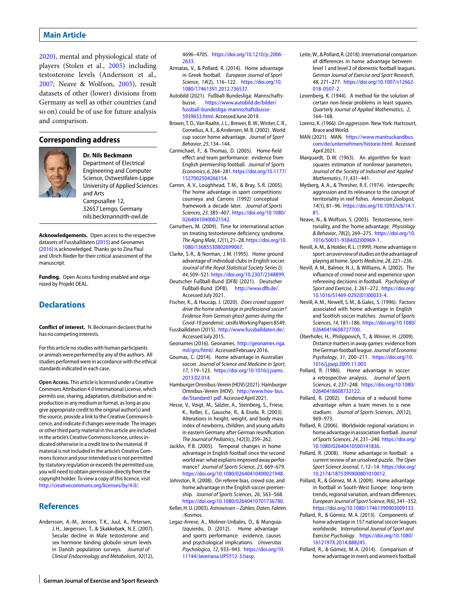#### **Main Article**

[2020\)](#page-8-4), mental and physiological state of players (Stolen et al., [2005\)](#page-8-12) including testosterone levels (Andersson et al., [2007;](#page-7-33) Neave & Wolfson, [2003\)](#page-7-15), result datasets of other (lower) divisions from Germany as well as other countries (and so on) could be of use for future analysis and comparison.

#### **Corresponding address**



**Dr. Nils Beckmann**

Department of Electrical Engineering and Computer Science, Ostwestfalen-Lippe University of Applied Sciences and Arts Campusallee 12, 32657 Lemgo, Germany nils.beckmann@th-owl.de

**Acknowledgements.** Open access to the respective datasets of Fussballdaten [\(2015\)](#page-7-22) and Geonames [\(2016\)](#page-7-24) is acknowledged. Thanks go to Zina Paul and Ulrich Rieder for their critical assessment of the manuscript.

**Funding.** Open Access funding enabled and organized by Projekt DEAL.

# **Declarations**

**Conflict of interest.** N. Beckmann declares that he has no competing interests.

For this article no studies with human participants or animals were performed by any of the authors. All studies performed were in accordance with the ethical standards indicated in each case.

**Open Access.** This article is licensed under a Creative Commons Attribution 4.0 International License, which permits use, sharing, adaptation, distribution and reproduction in any medium or format, as long as you give appropriate credit to the original author(s) and the source, provide a link to the Creative Commons licence, and indicate if changes were made. The images or other third party material in this article are included in the article's Creative Commons licence, unless indicated otherwise in a credit line to the material. If material is not included in the article's Creative Commons licence and your intended use is not permitted by statutory regulation or exceeds the permitted use, you will need to obtain permission directly from the copyright holder. To view a copy of this licence, visit [http://creativecommons.org/licenses/by/4.0/.](http://creativecommons.org/licenses/by/4.0/)

# **References**

<span id="page-7-33"></span>Andersson, A.-M., Jensen, T. K., Juul, A., Petersen, J. H., Jørgensen, T., & Skakkebæk, N. E. (2007). Secular decline in Male testosterone and sex hormone binding globulin serum levels in Danish population surveys. Journal of Clinical Endocrinology and Metabolism, 92(12), 4696–4705. [https://doi.org/10.1210/jc.2006-](https://doi.org/10.1210/jc.2006-2633) [2633.](https://doi.org/10.1210/jc.2006-2633)

- <span id="page-7-14"></span>Armatas, V., & Pollard, R. (2014). Home advantage in Greek football. European Journal of Sport Science, 14(2), 116–122. [https://doi.org/10.](https://doi.org/10.1080/17461391.2012.736537) [1080/17461391.2012.736537.](https://doi.org/10.1080/17461391.2012.736537)
- <span id="page-7-28"></span>Autobild (2021). Fußball-Bundesliga: Mannschaftsbusse. [https://www.autobild.de/bilder/](https://www.autobild.de/bilder/fussball-bundesliga-mannschaftsbusse-5939653.html) [fussball-bundesliga-mannschaftsbusse-](https://www.autobild.de/bilder/fussball-bundesliga-mannschaftsbusse-5939653.html)[5939653.html.](https://www.autobild.de/bilder/fussball-bundesliga-mannschaftsbusse-5939653.html) Accessed June2019.
- <span id="page-7-10"></span>Brown, T. D., Van Raalte, J. L., Brewer, B. W., Winter, C. R., Cornelius, A. E., & Andersen, M. B. (2002). World cup soccer home advantage. Journal of Sport Behavior, 25,134–144.
- <span id="page-7-0"></span>Carmichael, F., & Thomas, D. (2005). Home-field effect and team performance: evidence from English premiership football. Journal of Sports Economics, 6, 264–281. [https://doi.org/10.1177/](https://doi.org/10.1177/1527002504266154) [1527002504266154.](https://doi.org/10.1177/1527002504266154)
- <span id="page-7-19"></span>Carron, A. V., Loughhead, T. M., & Bray, S. R. (2005). The home advantage in sport competitions: courneya and Carrons (1992) conceptual framework a decade later. Journal of Sports Sciences, 23, 385–407. [https://doi.org/10.1080/](https://doi.org/10.1080/02640410400021542) [02640410400021542.](https://doi.org/10.1080/02640410400021542)
- <span id="page-7-34"></span>Carruthers, M. (2009). Time for international action on treating testosterone deficiency syndrome. The Aging Male, 12(1),21–28. [https://doi.org/10.](https://doi.org/10.1080/13685530802699067) [1080/13685530802699067.](https://doi.org/10.1080/13685530802699067)
- <span id="page-7-11"></span>Clarke, S. R., & Norman, J. M. (1995). Home ground advantage of individual clubs in English soccer. Journal of the Royal Statistical Society Series D, 44,509–521. [https://doi.org/10.2307/2348899.](https://doi.org/10.2307/2348899)
- <span id="page-7-23"></span>Deutscher Fußball-Bund (DFB) (2021). Deutscher Fußball-Bund (DFB). [http://www.dfb.de/.](http://www.dfb.de/) Accessed July 2021.
- <span id="page-7-9"></span>Fischer, K., & Haucap, J. (2020). Does crowd support drive the home advantage in professional soccer? Evidence from German ghost games during the Covid-19 pandemic. cesifo Working Papers 8549.
- <span id="page-7-24"></span><span id="page-7-22"></span>Fussballdaten (2015). [http://www.fussballdaten.de/.](http://www.fussballdaten.de/) Accessed July 2015.
- <span id="page-7-12"></span>Geonames (2016). Geonames. [http://geonames.nga.](http://geonames.nga.mil/gns/html/) [mil/gns/html/.](http://geonames.nga.mil/gns/html/) Accessed February 2016.
- Goumas, C. (2014). Home advantage in Australian soccer. Journal of Science and Medicine in Sport, 17, 119–123. [https://doi.org/10.1016/j.jsams.](https://doi.org/10.1016/j.jsams.2013.02.014) [2013.02.014.](https://doi.org/10.1016/j.jsams.2013.02.014)
- <span id="page-7-29"></span>HamburgerOmnibus-Verein(HOV)(2021). Hamburger Omnibus-Verein (HOV). [http://www.hov-bus.](http://www.hov-bus.de/Standard1.pdf) [de/Standard1.pdf.](http://www.hov-bus.de/Standard1.pdf) Accessed April 2021.
- <span id="page-7-35"></span>Hesse, V., Voigt, M., Sälzler, A., Steinberg, S., Friese, K., Keller, E., Gausche, R., & Eisele, R. (2003). Alterations in height, weight, and body mass index of newborns, children, and young adults in eastern Germany after German reunification. The Journal of Pediatrics, 142(3),259–262.
- <span id="page-7-17"></span>Jacklin, P.B. (2005). Temporal changes in home advantage in English football since the second worldwar: whatexplains improvedaway performance? Journal of Sports Science, 23, 669–679. [https://doi.org/10.1080/02640410400021948.](https://doi.org/10.1080/02640410400021948)
- <span id="page-7-7"></span>Johnston, R. (2008). On referee bias, crowd size, and home advantage in the English soccer premiership. Journal of Sports Sciences, 26, 563–568. [https://doi.org/10.1080/02640410701736780.](https://doi.org/10.1080/02640410701736780)
- <span id="page-7-25"></span>Keller,H. U.(2003). Astrowissen – Zahlen, Daten, Fakten. : Kosmos.
- <span id="page-7-1"></span>Legaz-Arrese, A., Moliner-Urdiales, D., & Munguía-Izquierdo, D. (2012). Home advantage and sports performance: evidence, causes and psychological implications. Universitas Psychologica, 12, 933–943. [https://doi.org/10.](https://doi.org/10.11144/Javeriana.UPSY12-3.hasp) [11144/Javeriana.UPSY12-3.hasp.](https://doi.org/10.11144/Javeriana.UPSY12-3.hasp)
- <span id="page-7-4"></span>Leite, W., & Pollard, R. (2018). International comparison of differences in home advantage between level 1 and level 2 of domestic football leagues. German Journal of Exercise and Sport Research, 48, 271–277. [https://doi.org/10.1007/s12662-](https://doi.org/10.1007/s12662-018-0507-2) [018-0507-2.](https://doi.org/10.1007/s12662-018-0507-2)
- <span id="page-7-26"></span>Levenberg, K. (1944). A method for the solution of certain non-linear problems in least squares. Quarterly Journal of Applied Mathematics, 2, 164–168.
- <span id="page-7-32"></span><span id="page-7-30"></span>Lorenz, K. (1966). On aggression. New York: Hartcourt, Brace andWorld.
- MAN (2021). MAN. [https://www.mantruckandbus.](https://www.mantruckandbus.com/de/unternehmen/historie.html) [com/de/unternehmen/historie.html.](https://www.mantruckandbus.com/de/unternehmen/historie.html) Accessed April2021.
- <span id="page-7-27"></span>Marquardt, D. W. (1963). An algorithm for leastsquares estimation of nonlinear parameters. Journal of the Society of Industrial and Applied Mathematics, 11,431–441.
- <span id="page-7-31"></span>Myrberg, A. A., & Thresher, R. E. (1974). Interspecific aggression and its relevance to the concept of territoriality in reef fishes. Amercian Zoologist, 14(1), 81–96. [https://doi.org/10.1093/icb/14.1.](https://doi.org/10.1093/icb/14.1.81) [81.](https://doi.org/10.1093/icb/14.1.81)
- <span id="page-7-15"></span>Neave, N., & Wolfson, S. (2003). Testosterone, territoriality, and the 'home advantage. Physiology & Behavior, 78(2), 269–275. [https://doi.org/10.](https://doi.org/10.1016/S0031-9384(02)00969-1) [1016/S0031-9384\(02\)00969-1.](https://doi.org/10.1016/S0031-9384(02)00969-1)
- <span id="page-7-3"></span>Nevill, A. M., & Holder, R. L. (1999). Home advantage in sport: an overview of studies on the advantage of playing at home. Sports Medicine, 28,221–236.
- <span id="page-7-36"></span>Nevill, A. M., Balmer, N. J., & Williams, A. (2002). The influence of crowd noise and experience upon refereeing decisions in football. Psychology of Sport and Exercise, 3, 261–272. [https://doi.org/](https://doi.org/10.1016/S1469-0292(01)00033-4) [10.1016/S1469-0292\(01\)00033-4.](https://doi.org/10.1016/S1469-0292(01)00033-4)
- <span id="page-7-8"></span>Nevill, A. M., Newell, S. M., & Galec, S. (1996). Factors associated with home advantage in English and Scottish soccer matches. Journal of Sports Sciences, 14, 181–186. [https://doi.org/10.1080/](https://doi.org/10.1080/02640419608727700) [02640419608727700.](https://doi.org/10.1080/02640419608727700)
- <span id="page-7-20"></span>Oberhofer, H., Philippovich, T., & Winner, H. (2009). Distance matters in away games: evidence from the German football league. Journal of Economic Psychology, 31, 200–211. [https://doi.org/10.](https://doi.org/10.1016/j.joep.2009.11.003) [1016/j.joep.2009.11.003.](https://doi.org/10.1016/j.joep.2009.11.003)
- <span id="page-7-21"></span>Pollard, R. (1986). Home advantage in soccer: a retrospective analysis. Journal of Sports Sciences, 4, 237–248. [https://doi.org/10.1080/](https://doi.org/10.1080/02640418608732122) [02640418608732122.](https://doi.org/10.1080/02640418608732122)
- <span id="page-7-13"></span>Pollard, R. (2002). Evidence of a reduced home advantage when a team moves to a new stadium. Journal of Sports Sciences, 20(12), 969–973.
- <span id="page-7-2"></span>Pollard, R. (2006). Worldwide regional variations in home advantage in association football. Journal of Sports Sciences, 24, 231–240. [https://doi.org/](https://doi.org/10.1080/02640410500141836) [10.1080/02640410500141836.](https://doi.org/10.1080/02640410500141836)
- <span id="page-7-6"></span>Pollard, R. (2008). Home advantage in football: a current review of an unsolved puzzle. The Open Sport Science Journal, 1, 12–14. [https://doi.org/](https://doi.org/10.2174/1875399X00801010012) [10.2174/1875399X00801010012.](https://doi.org/10.2174/1875399X00801010012)
- <span id="page-7-16"></span>Pollard, R., & Gómez, M. A. (2009). Home advantage in football in South-West Europe: long-term trends, regional variation, and team differences. European Journal of Sport Science, 9(6),341–352. [https://doi.org/10.1080/17461390903009133.](https://doi.org/10.1080/17461390903009133)
- <span id="page-7-5"></span>Pollard, R., & Gómez, M. A. (2013). Components of home advantage in 157 national soccer leagues worldwide. International Journal of Sport and Exercise Psychology. [https://doi.org/10.1080/](https://doi.org/10.1080/1612197X.2014.888245) [1612197X.2014.888245.](https://doi.org/10.1080/1612197X.2014.888245)
- <span id="page-7-18"></span>Pollard, R., & Gómez, M. A. (2014). Comparison of home advantage in men's and women's football